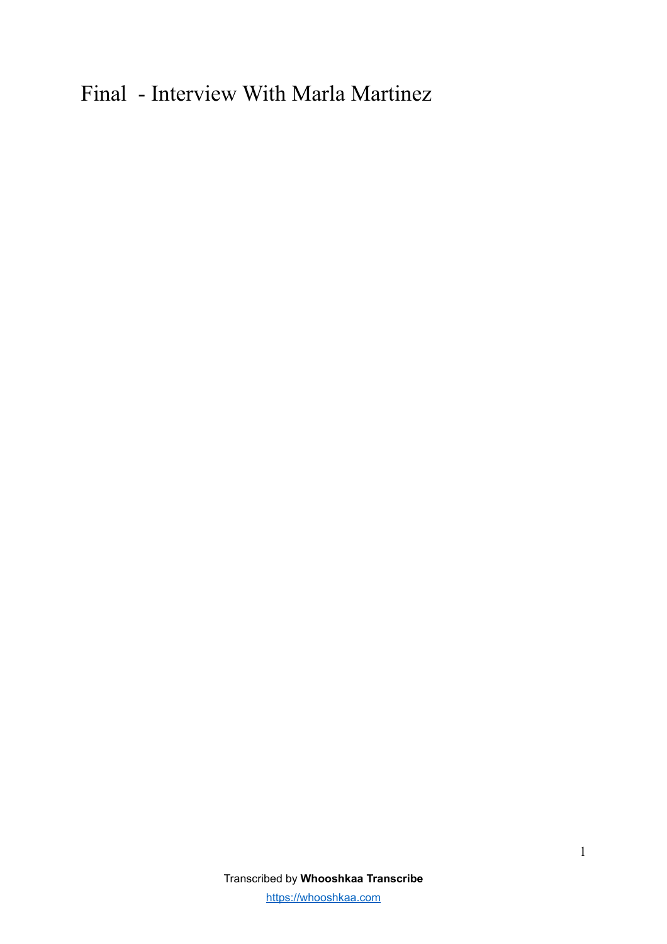## Final - Interview With Marla Martinez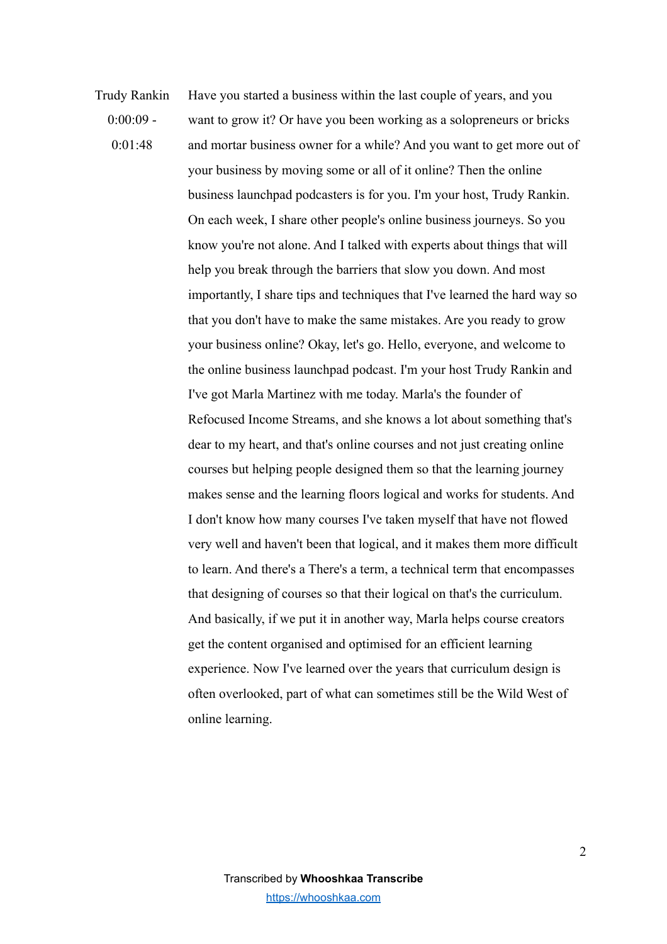Trudy Rankin  $0.0009 0.01 - 48$ Have you started a business within the last couple of years, and you want to grow it? Or have you been working as a solopreneurs or bricks and mortar business owner for a while? And you want to get more out of your business by moving some or all of it online? Then the online business launchpad podcasters is for you. I'm your host, Trudy Rankin. On each week, I share other people's online business journeys. So you know you're not alone. And I talked with experts about things that will help you break through the barriers that slow you down. And most importantly, I share tips and techniques that I've learned the hard way so that you don't have to make the same mistakes. Are you ready to grow your business online? Okay, let's go. Hello, everyone, and welcome to the online business launchpad podcast. I'm your host Trudy Rankin and I've got Marla Martinez with me today. Marla's the founder of Refocused Income Streams, and she knows a lot about something that's dear to my heart, and that's online courses and not just creating online courses but helping people designed them so that the learning journey makes sense and the learning floors logical and works for students. And I don't know how many courses I've taken myself that have not flowed very well and haven't been that logical, and it makes them more difficult to learn. And there's a There's a term, a technical term that encompasses that designing of courses so that their logical on that's the curriculum. And basically, if we put it in another way, Marla helps course creators get the content organised and optimised for an efficient learning experience. Now I've learned over the years that curriculum design is often overlooked, part of what can sometimes still be the Wild West of online learning.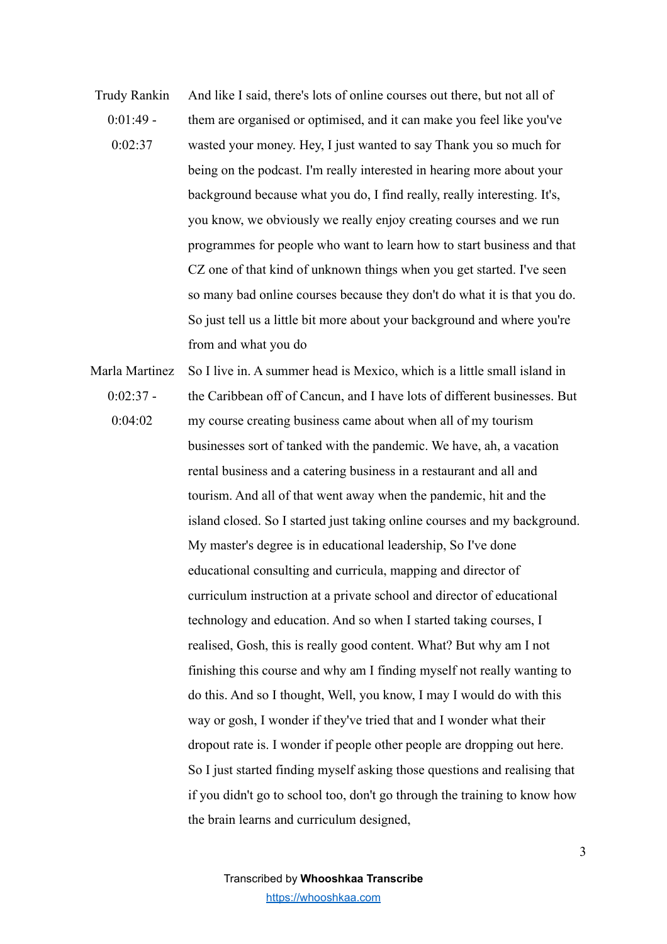- Trudy Rankin  $0.01.49 0.02.37$ And like I said, there's lots of online courses out there, but not all of them are organised or optimised, and it can make you feel like you've wasted your money. Hey, I just wanted to say Thank you so much for being on the podcast. I'm really interested in hearing more about your background because what you do, I find really, really interesting. It's, you know, we obviously we really enjoy creating courses and we run programmes for people who want to learn how to start business and that CZ one of that kind of unknown things when you get started. I've seen so many bad online courses because they don't do what it is that you do. So just tell us a little bit more about your background and where you're from and what you do
- Marla Martinez  $0:02:37$  -0:04:02 So I live in. A summer head is Mexico, which is a little small island in the Caribbean off of Cancun, and I have lots of different businesses. But my course creating business came about when all of my tourism businesses sort of tanked with the pandemic. We have, ah, a vacation rental business and a catering business in a restaurant and all and tourism. And all of that went away when the pandemic, hit and the island closed. So I started just taking online courses and my background. My master's degree is in educational leadership, So I've done educational consulting and curricula, mapping and director of curriculum instruction at a private school and director of educational technology and education. And so when I started taking courses, I realised, Gosh, this is really good content. What? But why am I not finishing this course and why am I finding myself not really wanting to do this. And so I thought, Well, you know, I may I would do with this way or gosh, I wonder if they've tried that and I wonder what their dropout rate is. I wonder if people other people are dropping out here. So I just started finding myself asking those questions and realising that if you didn't go to school too, don't go through the training to know how the brain learns and curriculum designed,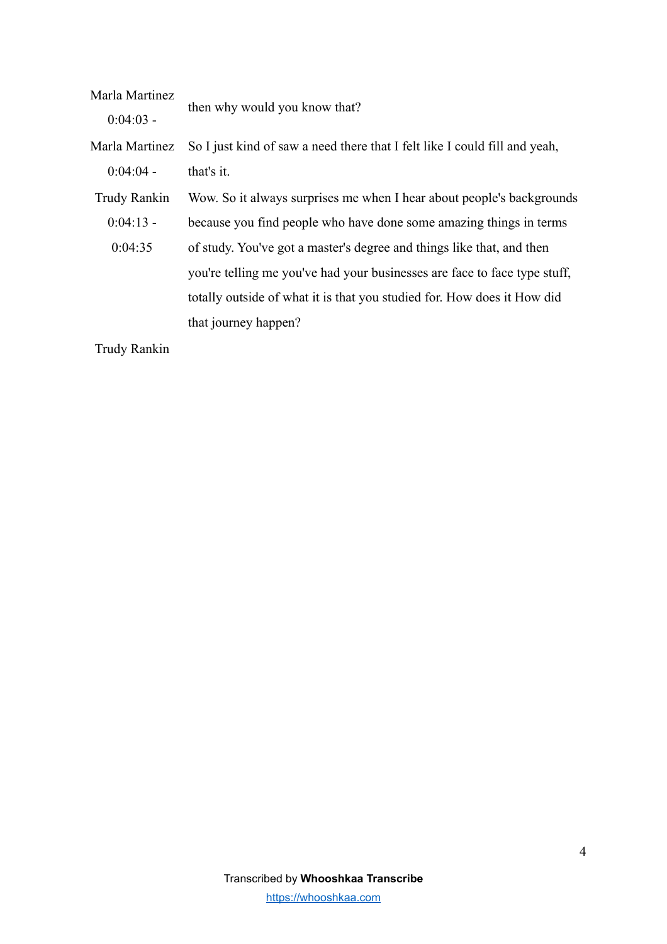| Marla Martinez | then why would you know that?                                              |
|----------------|----------------------------------------------------------------------------|
| $0:04:03$ -    |                                                                            |
| Marla Martinez | So I just kind of saw a need there that I felt like I could fill and yeah, |
| $0:04:04$ -    | that's it.                                                                 |
| Trudy Rankin   | Wow. So it always surprises me when I hear about people's backgrounds      |
| $0:04:13$ -    | because you find people who have done some amazing things in terms         |
| 0:04:35        | of study. You've got a master's degree and things like that, and then      |
|                | you're telling me you've had your businesses are face to face type stuff,  |
|                | totally outside of what it is that you studied for. How does it How did    |
|                | that journey happen?                                                       |
|                |                                                                            |

Trudy Rankin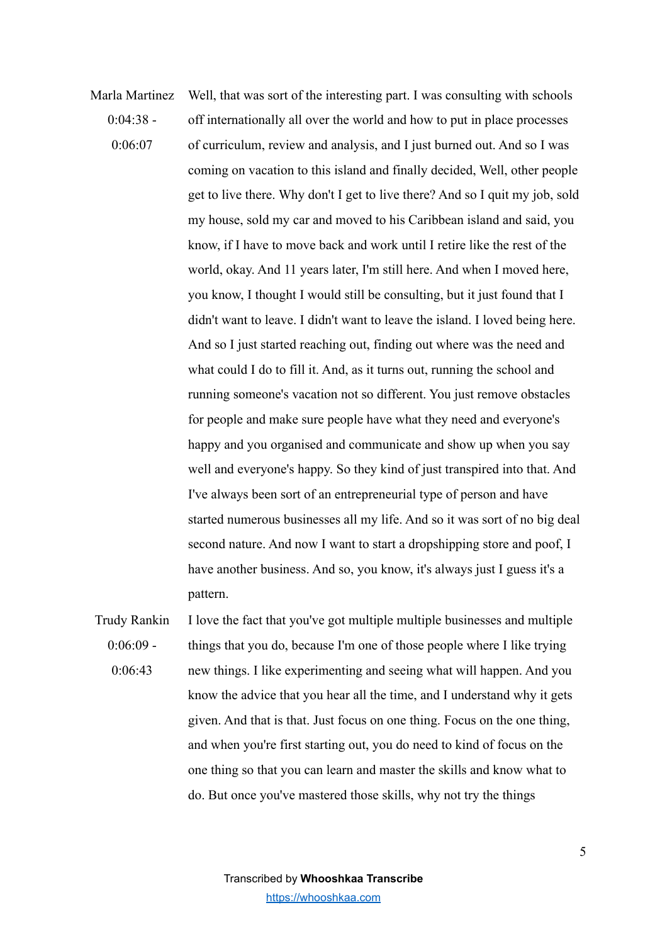Marla Martinez  $0.04.38 0.06:07$ Well, that was sort of the interesting part. I was consulting with schools off internationally all over the world and how to put in place processes of curriculum, review and analysis, and I just burned out. And so I was coming on vacation to this island and finally decided, Well, other people get to live there. Why don't I get to live there? And so I quit my job, sold my house, sold my car and moved to his Caribbean island and said, you know, if I have to move back and work until I retire like the rest of the world, okay. And 11 years later, I'm still here. And when I moved here, you know, I thought I would still be consulting, but it just found that I didn't want to leave. I didn't want to leave the island. I loved being here. And so I just started reaching out, finding out where was the need and what could I do to fill it. And, as it turns out, running the school and running someone's vacation not so different. You just remove obstacles for people and make sure people have what they need and everyone's happy and you organised and communicate and show up when you say well and everyone's happy. So they kind of just transpired into that. And I've always been sort of an entrepreneurial type of person and have started numerous businesses all my life. And so it was sort of no big deal second nature. And now I want to start a dropshipping store and poof, I have another business. And so, you know, it's always just I guess it's a pattern.

Trudy Rankin  $0.06.09 0.06:43$ I love the fact that you've got multiple multiple businesses and multiple things that you do, because I'm one of those people where I like trying new things. I like experimenting and seeing what will happen. And you know the advice that you hear all the time, and I understand why it gets given. And that is that. Just focus on one thing. Focus on the one thing, and when you're first starting out, you do need to kind of focus on the one thing so that you can learn and master the skills and know what to do. But once you've mastered those skills, why not try the things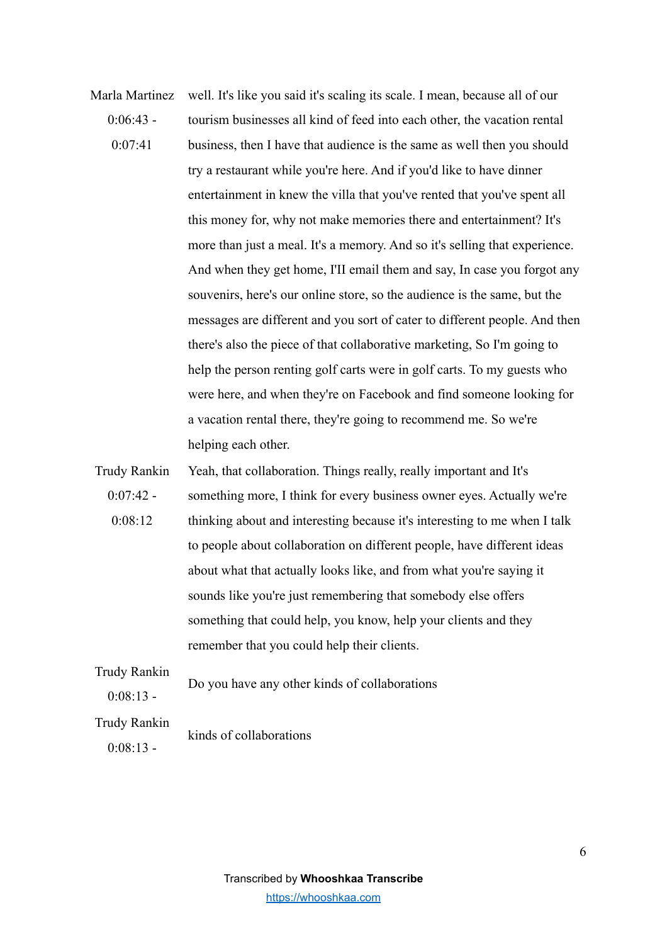- Marla Martinez  $0.06:43 0.07:41$ well. It's like you said it's scaling its scale. I mean, because all of our tourism businesses all kind of feed into each other, the vacation rental business, then I have that audience is the same as well then you should try a restaurant while you're here. And if you'd like to have dinner entertainment in knew the villa that you've rented that you've spent all this money for, why not make memories there and entertainment? It's more than just a meal. It's a memory. And so it's selling that experience. And when they get home, I'II email them and say, In case you forgot any souvenirs, here's our online store, so the audience is the same, but the messages are different and you sort of cater to different people. And then there's also the piece of that collaborative marketing, So I'm going to help the person renting golf carts were in golf carts. To my guests who were here, and when they're on Facebook and find someone looking for a vacation rental there, they're going to recommend me. So we're helping each other.
- Trudy Rankin  $0:07:42$  -0:08:12 Yeah, that collaboration. Things really, really important and It's something more, I think for every business owner eyes. Actually we're thinking about and interesting because it's interesting to me when I talk to people about collaboration on different people, have different ideas about what that actually looks like, and from what you're saying it sounds like you're just remembering that somebody else offers something that could help, you know, help your clients and they remember that you could help their clients.

Trudy Rankin

 $0.08.13 -$ 

Do you have any other kinds of collaborations

Trudy Rankin

 $0:08:13$  -

kinds of collaborations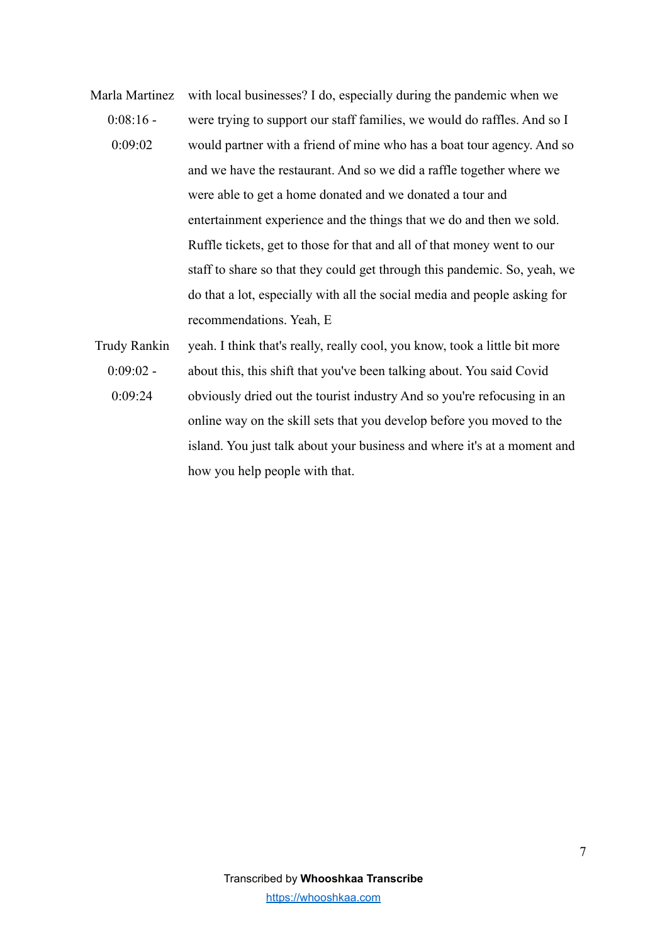- Marla Martinez  $0.08.16 0.09 \cdot 02$ with local businesses? I do, especially during the pandemic when we were trying to support our staff families, we would do raffles. And so I would partner with a friend of mine who has a boat tour agency. And so and we have the restaurant. And so we did a raffle together where we were able to get a home donated and we donated a tour and entertainment experience and the things that we do and then we sold. Ruffle tickets, get to those for that and all of that money went to our staff to share so that they could get through this pandemic. So, yeah, we do that a lot, especially with all the social media and people asking for recommendations. Yeah, E
- Trudy Rankin  $0:09:02 -$ 0:09:24 yeah. I think that's really, really cool, you know, took a little bit more about this, this shift that you've been talking about. You said Covid obviously dried out the tourist industry And so you're refocusing in an online way on the skill sets that you develop before you moved to the island. You just talk about your business and where it's at a moment and how you help people with that.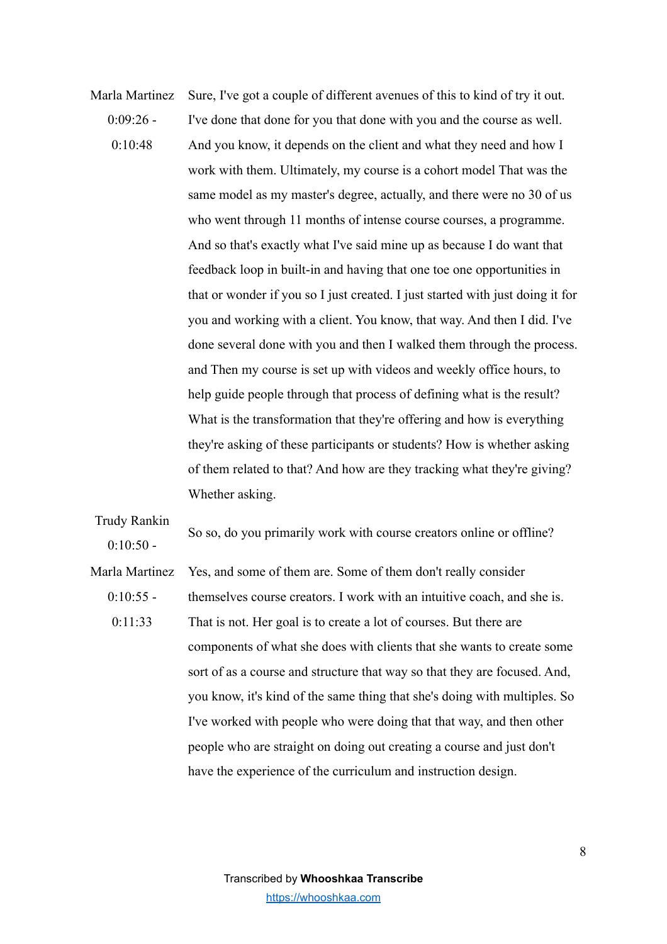Marla Martinez  $0.09.26 0.10 - 48$ Sure, I've got a couple of different avenues of this to kind of try it out. I've done that done for you that done with you and the course as well. And you know, it depends on the client and what they need and how I work with them. Ultimately, my course is a cohort model That was the same model as my master's degree, actually, and there were no 30 of us who went through 11 months of intense course courses, a programme. And so that's exactly what I've said mine up as because I do want that feedback loop in built-in and having that one toe one opportunities in that or wonder if you so I just created. I just started with just doing it for you and working with a client. You know, that way. And then I did. I've done several done with you and then I walked them through the process. and Then my course is set up with videos and weekly office hours, to help guide people through that process of defining what is the result? What is the transformation that they're offering and how is everything they're asking of these participants or students? How is whether asking of them related to that? And how are they tracking what they're giving? Whether asking.

 $0.10 - 50$  -So so, do you primarily work with course creators online or offline? Marla Martinez  $0.10.55 0.11.33$ Yes, and some of them are. Some of them don't really consider themselves course creators. I work with an intuitive coach, and she is. That is not. Her goal is to create a lot of courses. But there are components of what she does with clients that she wants to create some sort of as a course and structure that way so that they are focused. And, you know, it's kind of the same thing that she's doing with multiples. So I've worked with people who were doing that that way, and then other people who are straight on doing out creating a course and just don't have the experience of the curriculum and instruction design.

Trudy Rankin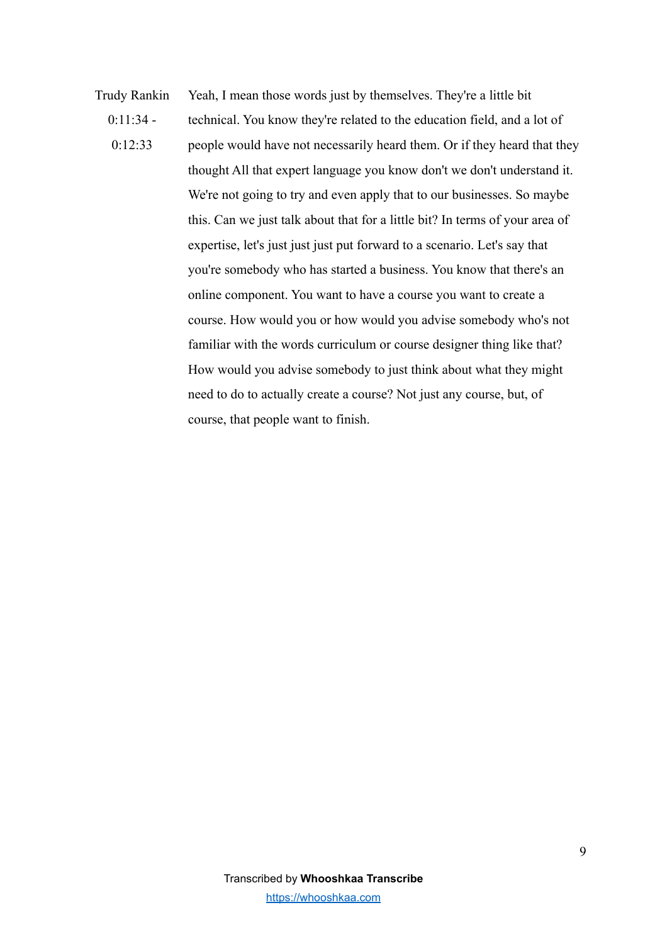Trudy Rankin  $0:11:34$  - $0.12.33$ Yeah, I mean those words just by themselves. They're a little bit technical. You know they're related to the education field, and a lot of people would have not necessarily heard them. Or if they heard that they thought All that expert language you know don't we don't understand it. We're not going to try and even apply that to our businesses. So maybe this. Can we just talk about that for a little bit? In terms of your area of expertise, let's just just just put forward to a scenario. Let's say that you're somebody who has started a business. You know that there's an online component. You want to have a course you want to create a course. How would you or how would you advise somebody who's not familiar with the words curriculum or course designer thing like that? How would you advise somebody to just think about what they might need to do to actually create a course? Not just any course, but, of course, that people want to finish.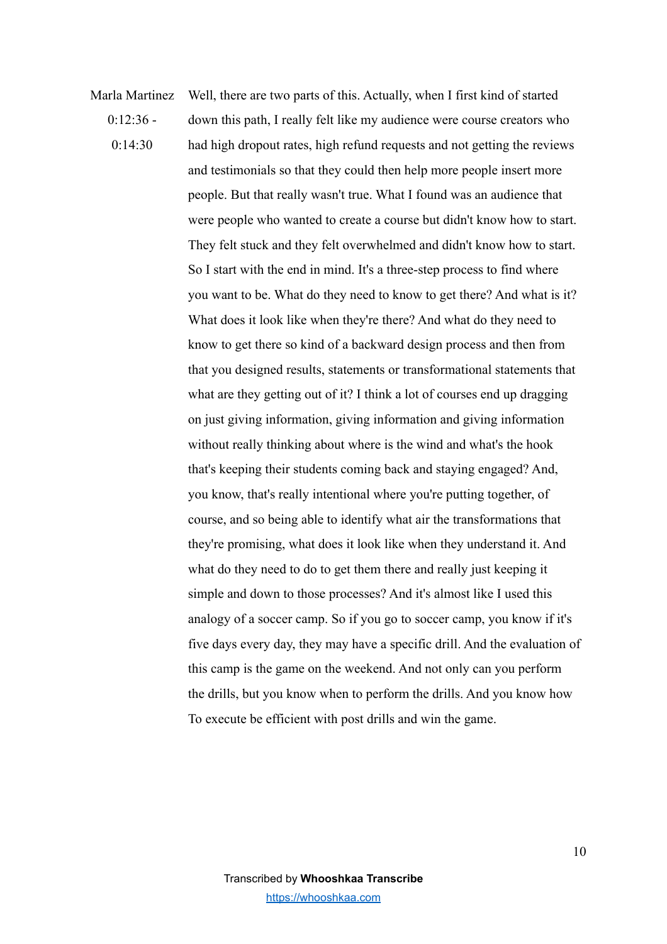Marla Martinez  $0.12.36 0.14.30$ Well, there are two parts of this. Actually, when I first kind of started down this path, I really felt like my audience were course creators who had high dropout rates, high refund requests and not getting the reviews and testimonials so that they could then help more people insert more people. But that really wasn't true. What I found was an audience that were people who wanted to create a course but didn't know how to start. They felt stuck and they felt overwhelmed and didn't know how to start. So I start with the end in mind. It's a three-step process to find where you want to be. What do they need to know to get there? And what is it? What does it look like when they're there? And what do they need to know to get there so kind of a backward design process and then from that you designed results, statements or transformational statements that what are they getting out of it? I think a lot of courses end up dragging on just giving information, giving information and giving information without really thinking about where is the wind and what's the hook that's keeping their students coming back and staying engaged? And, you know, that's really intentional where you're putting together, of course, and so being able to identify what air the transformations that they're promising, what does it look like when they understand it. And what do they need to do to get them there and really just keeping it simple and down to those processes? And it's almost like I used this analogy of a soccer camp. So if you go to soccer camp, you know if it's five days every day, they may have a specific drill. And the evaluation of this camp is the game on the weekend. And not only can you perform the drills, but you know when to perform the drills. And you know how To execute be efficient with post drills and win the game.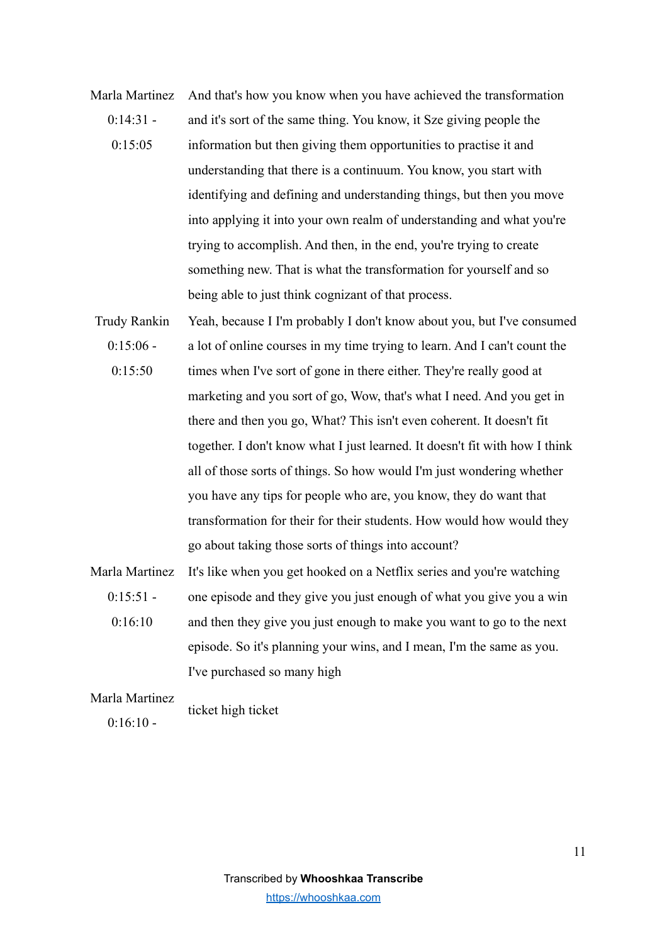- Marla Martinez  $0.14.31 0.15:05$ And that's how you know when you have achieved the transformation and it's sort of the same thing. You know, it Sze giving people the information but then giving them opportunities to practise it and understanding that there is a continuum. You know, you start with identifying and defining and understanding things, but then you move into applying it into your own realm of understanding and what you're trying to accomplish. And then, in the end, you're trying to create something new. That is what the transformation for yourself and so being able to just think cognizant of that process.
- Trudy Rankin  $0:15:06$  -0:15:50 Yeah, because I I'm probably I don't know about you, but I've consumed a lot of online courses in my time trying to learn. And I can't count the times when I've sort of gone in there either. They're really good at marketing and you sort of go, Wow, that's what I need. And you get in there and then you go, What? This isn't even coherent. It doesn't fit together. I don't know what I just learned. It doesn't fit with how I think all of those sorts of things. So how would I'm just wondering whether you have any tips for people who are, you know, they do want that transformation for their for their students. How would how would they go about taking those sorts of things into account?
- Marla Martinez  $0.15.51 0.16:10$ It's like when you get hooked on a Netflix series and you're watching one episode and they give you just enough of what you give you a win and then they give you just enough to make you want to go to the next episode. So it's planning your wins, and I mean, I'm the same as you. I've purchased so many high

## Marla Martinez  $0.16:10$ ticket high ticket

Transcribed by **Whooshkaa Transcribe** [https://whooshkaa.com](https://whooshkaa.com/)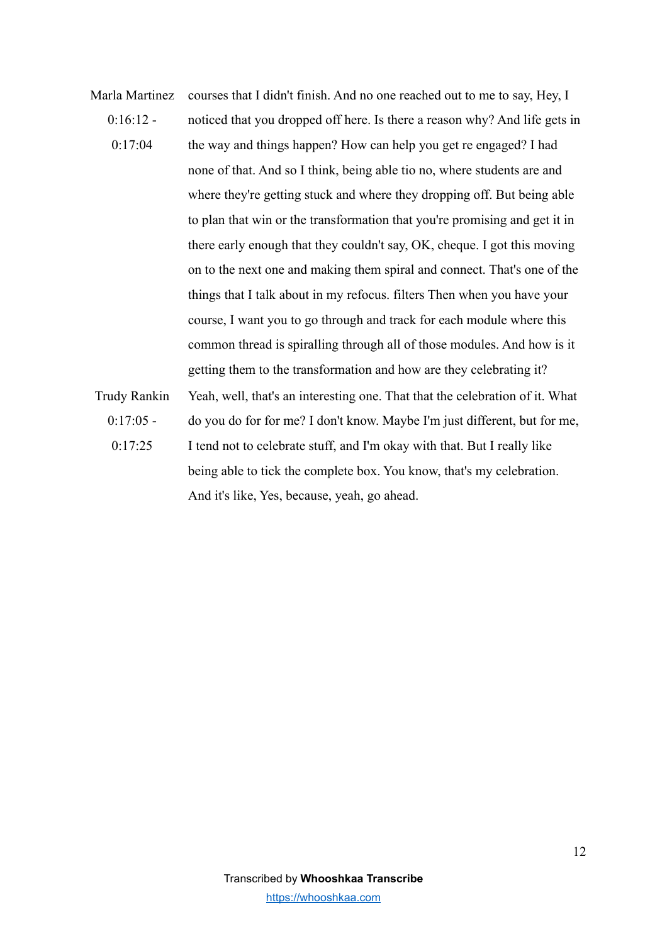Marla Martinez  $0.16.12 0.17 \cdot 04$ courses that I didn't finish. And no one reached out to me to say, Hey, I noticed that you dropped off here. Is there a reason why? And life gets in the way and things happen? How can help you get re engaged? I had none of that. And so I think, being able tio no, where students are and where they're getting stuck and where they dropping off. But being able to plan that win or the transformation that you're promising and get it in there early enough that they couldn't say, OK, cheque. I got this moving on to the next one and making them spiral and connect. That's one of the things that I talk about in my refocus. filters Then when you have your course, I want you to go through and track for each module where this common thread is spiralling through all of those modules. And how is it getting them to the transformation and how are they celebrating it? Trudy Rankin  $0:17:05$  -0:17:25 Yeah, well, that's an interesting one. That that the celebration of it. What do you do for for me? I don't know. Maybe I'm just different, but for me, I tend not to celebrate stuff, and I'm okay with that. But I really like being able to tick the complete box. You know, that's my celebration. And it's like, Yes, because, yeah, go ahead.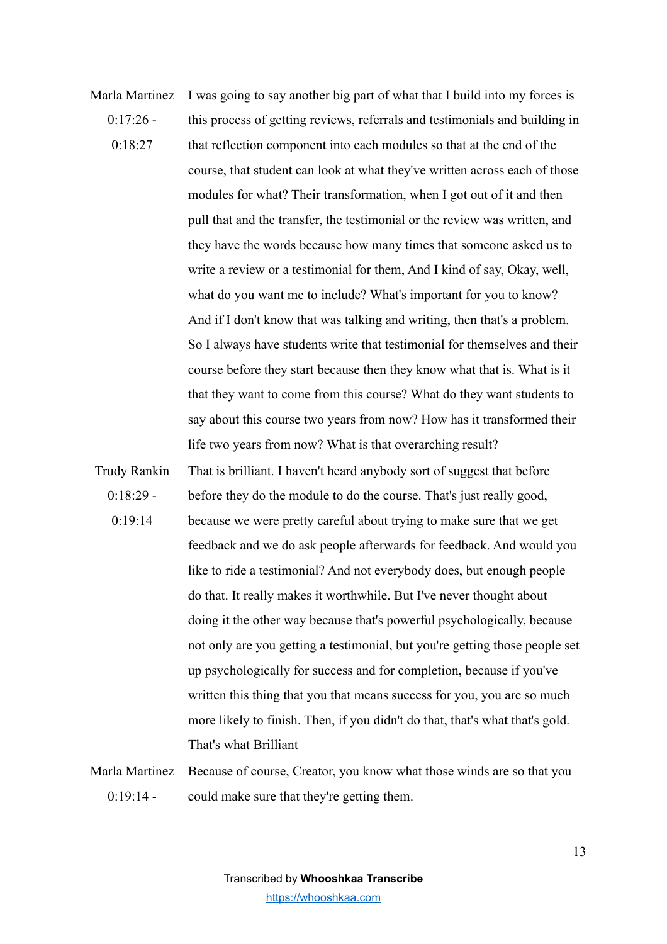Marla Martinez  $0.17.26 0.18.27$ I was going to say another big part of what that I build into my forces is this process of getting reviews, referrals and testimonials and building in that reflection component into each modules so that at the end of the course, that student can look at what they've written across each of those modules for what? Their transformation, when I got out of it and then pull that and the transfer, the testimonial or the review was written, and they have the words because how many times that someone asked us to write a review or a testimonial for them, And I kind of say, Okay, well, what do you want me to include? What's important for you to know? And if I don't know that was talking and writing, then that's a problem. So I always have students write that testimonial for themselves and their course before they start because then they know what that is. What is it that they want to come from this course? What do they want students to say about this course two years from now? How has it transformed their life two years from now? What is that overarching result?

Trudy Rankin  $0:18:29$  -0:19:14 That is brilliant. I haven't heard anybody sort of suggest that before before they do the module to do the course. That's just really good, because we were pretty careful about trying to make sure that we get feedback and we do ask people afterwards for feedback. And would you like to ride a testimonial? And not everybody does, but enough people do that. It really makes it worthwhile. But I've never thought about doing it the other way because that's powerful psychologically, because not only are you getting a testimonial, but you're getting those people set up psychologically for success and for completion, because if you've written this thing that you that means success for you, you are so much more likely to finish. Then, if you didn't do that, that's what that's gold. That's what Brilliant

Marla Martinez  $0.19.14 -$ Because of course, Creator, you know what those winds are so that you could make sure that they're getting them.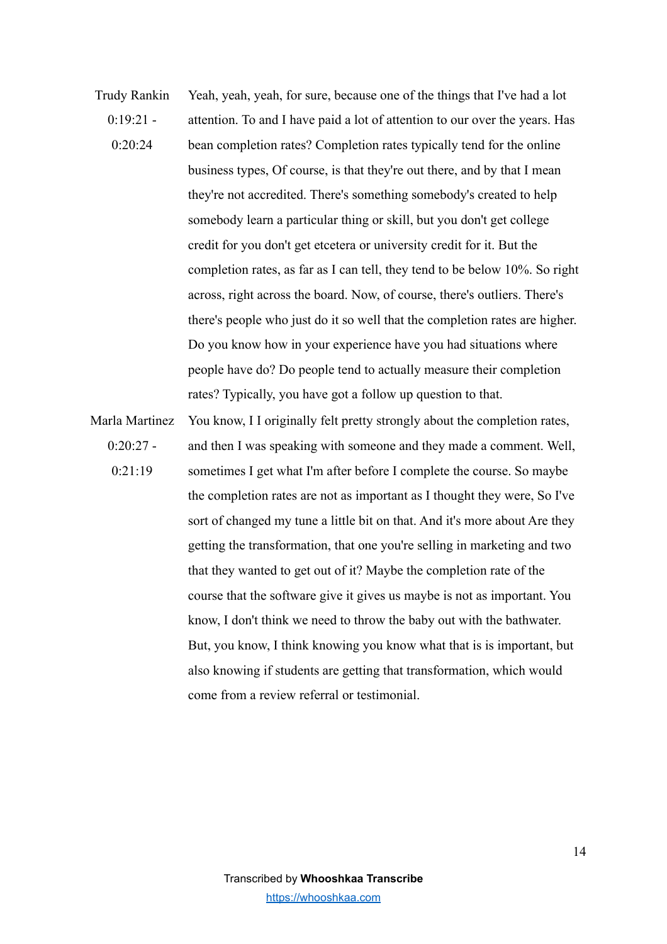- Trudy Rankin  $0.19.21 0.20.24$ Yeah, yeah, yeah, for sure, because one of the things that I've had a lot attention. To and I have paid a lot of attention to our over the years. Has bean completion rates? Completion rates typically tend for the online business types, Of course, is that they're out there, and by that I mean they're not accredited. There's something somebody's created to help somebody learn a particular thing or skill, but you don't get college credit for you don't get etcetera or university credit for it. But the completion rates, as far as I can tell, they tend to be below 10%. So right across, right across the board. Now, of course, there's outliers. There's there's people who just do it so well that the completion rates are higher. Do you know how in your experience have you had situations where people have do? Do people tend to actually measure their completion rates? Typically, you have got a follow up question to that.
- Marla Martinez  $0:20:27$  - $0.21.19$ You know, I I originally felt pretty strongly about the completion rates, and then I was speaking with someone and they made a comment. Well, sometimes I get what I'm after before I complete the course. So maybe the completion rates are not as important as I thought they were, So I've sort of changed my tune a little bit on that. And it's more about Are they getting the transformation, that one you're selling in marketing and two that they wanted to get out of it? Maybe the completion rate of the course that the software give it gives us maybe is not as important. You know, I don't think we need to throw the baby out with the bathwater. But, you know, I think knowing you know what that is is important, but also knowing if students are getting that transformation, which would come from a review referral or testimonial.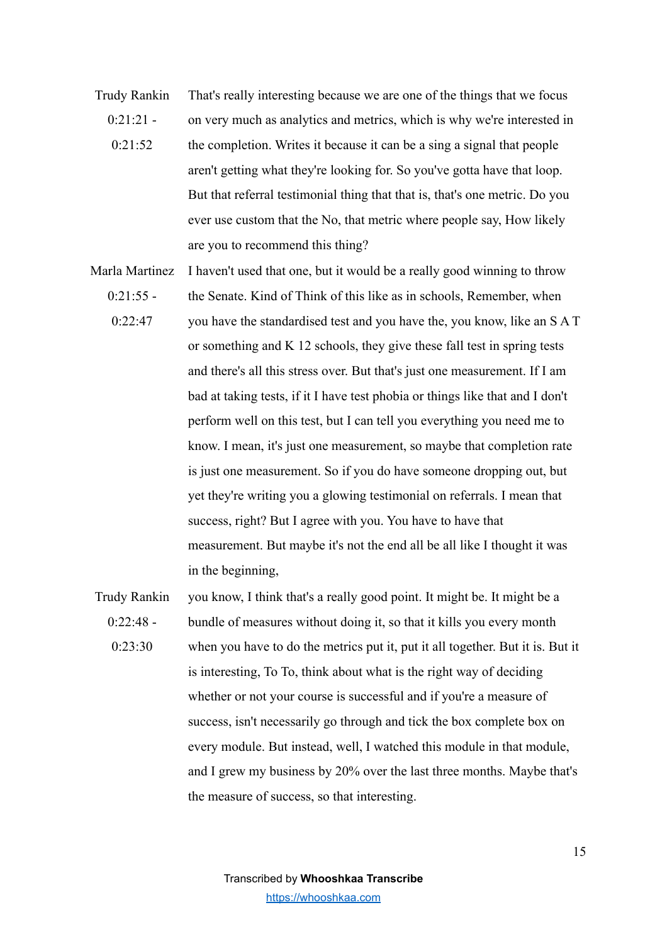- Trudy Rankin  $0.21.21 0.21.52$ That's really interesting because we are one of the things that we focus on very much as analytics and metrics, which is why we're interested in the completion. Writes it because it can be a sing a signal that people aren't getting what they're looking for. So you've gotta have that loop. But that referral testimonial thing that that is, that's one metric. Do you ever use custom that the No, that metric where people say, How likely are you to recommend this thing?
- Marla Martinez I haven't used that one, but it would be a really good winning to throw
	- $0.21:55$  -0:22:47 the Senate. Kind of Think of this like as in schools, Remember, when you have the standardised test and you have the, you know, like an S A T or something and K 12 schools, they give these fall test in spring tests and there's all this stress over. But that's just one measurement. If I am bad at taking tests, if it I have test phobia or things like that and I don't perform well on this test, but I can tell you everything you need me to know. I mean, it's just one measurement, so maybe that completion rate is just one measurement. So if you do have someone dropping out, but yet they're writing you a glowing testimonial on referrals. I mean that success, right? But I agree with you. You have to have that measurement. But maybe it's not the end all be all like I thought it was in the beginning,
- Trudy Rankin  $0.22.48 0.23.30$ you know, I think that's a really good point. It might be. It might be a bundle of measures without doing it, so that it kills you every month when you have to do the metrics put it, put it all together. But it is. But it is interesting, To To, think about what is the right way of deciding whether or not your course is successful and if you're a measure of success, isn't necessarily go through and tick the box complete box on every module. But instead, well, I watched this module in that module, and I grew my business by 20% over the last three months. Maybe that's the measure of success, so that interesting.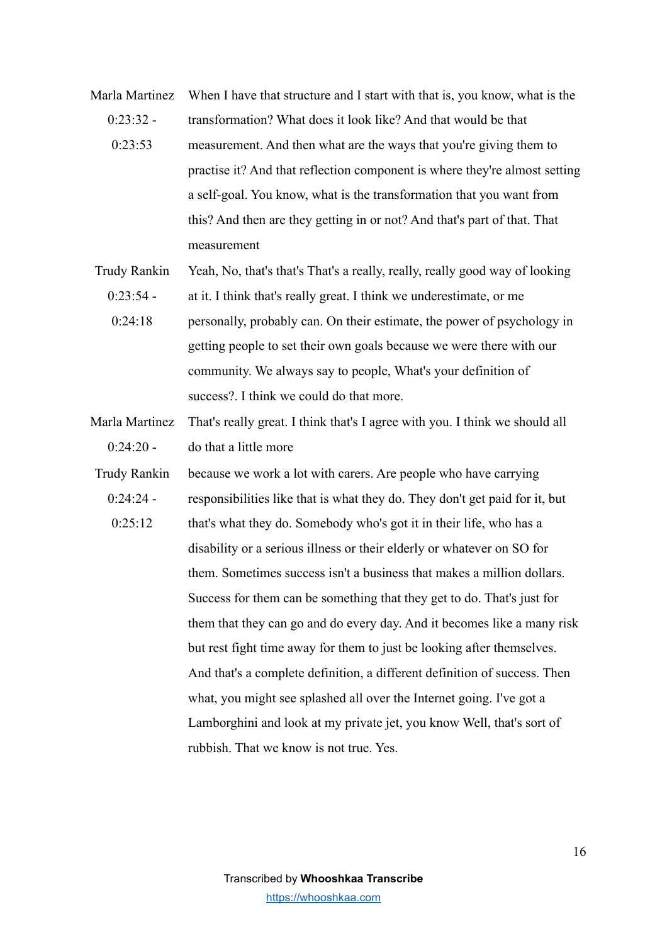Marla Martinez When I have that structure and I start with that is, you know, what is the  $0.23.32 0.23.53$ transformation? What does it look like? And that would be that measurement. And then what are the ways that you're giving them to practise it? And that reflection component is where they're almost setting a self-goal. You know, what is the transformation that you want from this? And then are they getting in or not? And that's part of that. That measurement

Trudy Rankin Yeah, No, that's that's That's a really, really, really good way of looking

- $0.23.54 -$ 0:24:18 at it. I think that's really great. I think we underestimate, or me personally, probably can. On their estimate, the power of psychology in getting people to set their own goals because we were there with our community. We always say to people, What's your definition of success?. I think we could do that more.
- Marla Martinez  $0:24:20$  -That's really great. I think that's I agree with you. I think we should all do that a little more
- Trudy Rankin  $0.24.24 0.25 \cdot 12$ because we work a lot with carers. Are people who have carrying responsibilities like that is what they do. They don't get paid for it, but that's what they do. Somebody who's got it in their life, who has a disability or a serious illness or their elderly or whatever on SO for them. Sometimes success isn't a business that makes a million dollars. Success for them can be something that they get to do. That's just for them that they can go and do every day. And it becomes like a many risk but rest fight time away for them to just be looking after themselves. And that's a complete definition, a different definition of success. Then what, you might see splashed all over the Internet going. I've got a Lamborghini and look at my private jet, you know Well, that's sort of rubbish. That we know is not true. Yes.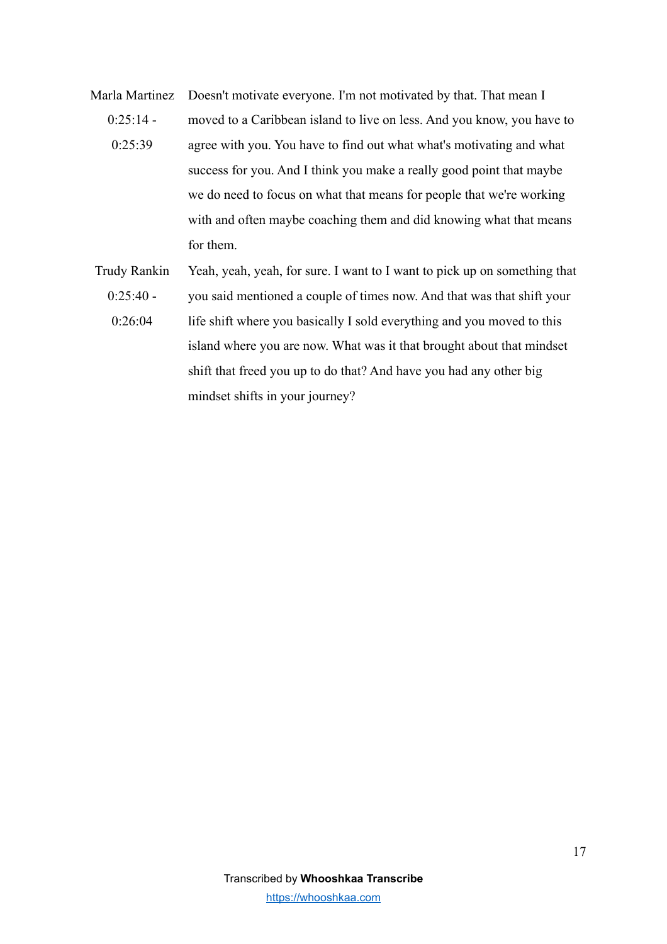- Marla Martinez  $0.25.14 0.25.39$ Doesn't motivate everyone. I'm not motivated by that. That mean I moved to a Caribbean island to live on less. And you know, you have to agree with you. You have to find out what what's motivating and what success for you. And I think you make a really good point that maybe we do need to focus on what that means for people that we're working with and often maybe coaching them and did knowing what that means for them.
- Trudy Rankin  $0:25:40 -$ 0:26:04 Yeah, yeah, yeah, for sure. I want to I want to pick up on something that you said mentioned a couple of times now. And that was that shift your life shift where you basically I sold everything and you moved to this island where you are now. What was it that brought about that mindset shift that freed you up to do that? And have you had any other big mindset shifts in your journey?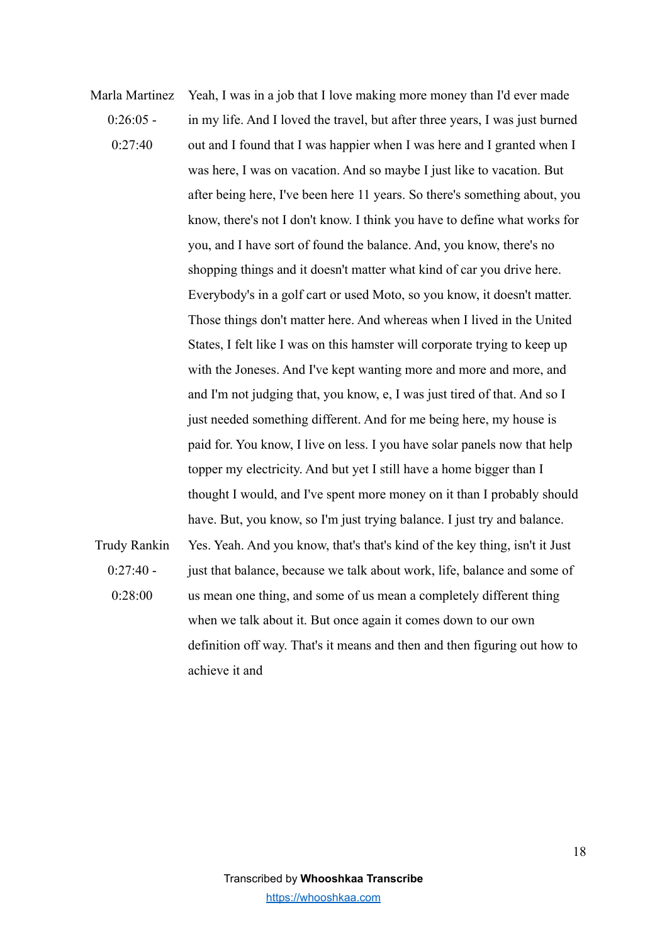Marla Martinez  $0.26:05$  - $0.27 - 40$ Yeah, I was in a job that I love making more money than I'd ever made in my life. And I loved the travel, but after three years, I was just burned out and I found that I was happier when I was here and I granted when I was here, I was on vacation. And so maybe I just like to vacation. But after being here, I've been here 11 years. So there's something about, you know, there's not I don't know. I think you have to define what works for you, and I have sort of found the balance. And, you know, there's no shopping things and it doesn't matter what kind of car you drive here. Everybody's in a golf cart or used Moto, so you know, it doesn't matter. Those things don't matter here. And whereas when I lived in the United States, I felt like I was on this hamster will corporate trying to keep up with the Joneses. And I've kept wanting more and more and more, and and I'm not judging that, you know, e, I was just tired of that. And so I just needed something different. And for me being here, my house is paid for. You know, I live on less. I you have solar panels now that help topper my electricity. And but yet I still have a home bigger than I thought I would, and I've spent more money on it than I probably should have. But, you know, so I'm just trying balance. I just try and balance. Trudy Rankin  $0.27 - 40$  -0:28:00 Yes. Yeah. And you know, that's that's kind of the key thing, isn't it Just just that balance, because we talk about work, life, balance and some of us mean one thing, and some of us mean a completely different thing when we talk about it. But once again it comes down to our own definition off way. That's it means and then and then figuring out how to

achieve it and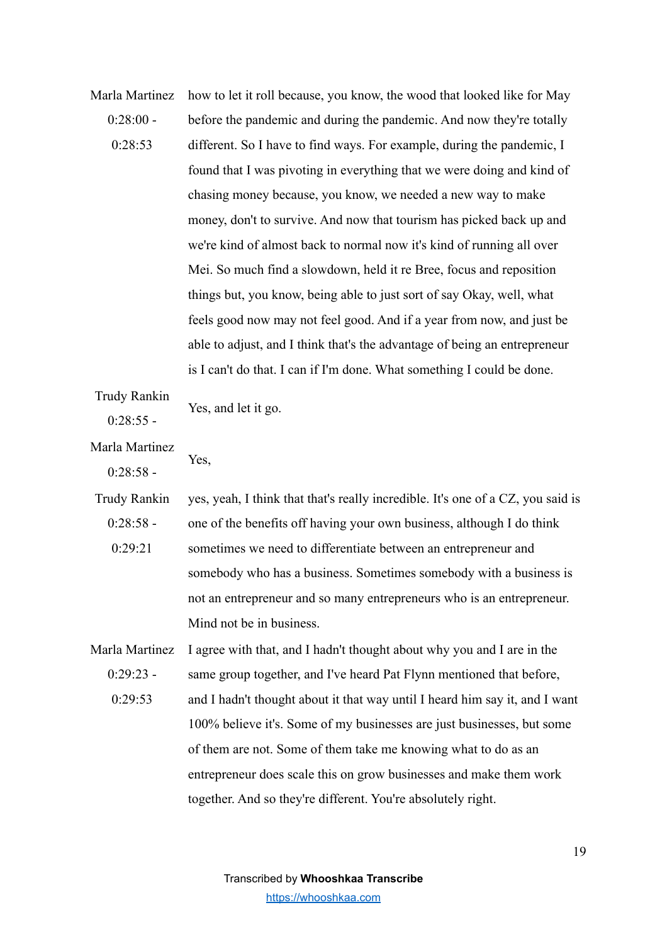Marla Martinez  $0.28 \cdot 00$  - $0.28.53$ how to let it roll because, you know, the wood that looked like for May before the pandemic and during the pandemic. And now they're totally different. So I have to find ways. For example, during the pandemic, I found that I was pivoting in everything that we were doing and kind of chasing money because, you know, we needed a new way to make money, don't to survive. And now that tourism has picked back up and we're kind of almost back to normal now it's kind of running all over Mei. So much find a slowdown, held it re Bree, focus and reposition things but, you know, being able to just sort of say Okay, well, what feels good now may not feel good. And if a year from now, and just be able to adjust, and I think that's the advantage of being an entrepreneur is I can't do that. I can if I'm done. What something I could be done.

Trudy Rankin  $0:28:55$  -Yes, and let it go.

Yes,

Marla Martinez

 $0:28:58$  -

Trudy Rankin  $0.28.58 0.29.21$ yes, yeah, I think that that's really incredible. It's one of a CZ, you said is one of the benefits off having your own business, although I do think sometimes we need to differentiate between an entrepreneur and somebody who has a business. Sometimes somebody with a business is not an entrepreneur and so many entrepreneurs who is an entrepreneur. Mind not be in business.

Marla Martinez  $0.29.23 0.29.53$ I agree with that, and I hadn't thought about why you and I are in the same group together, and I've heard Pat Flynn mentioned that before, and I hadn't thought about it that way until I heard him say it, and I want 100% believe it's. Some of my businesses are just businesses, but some of them are not. Some of them take me knowing what to do as an entrepreneur does scale this on grow businesses and make them work together. And so they're different. You're absolutely right.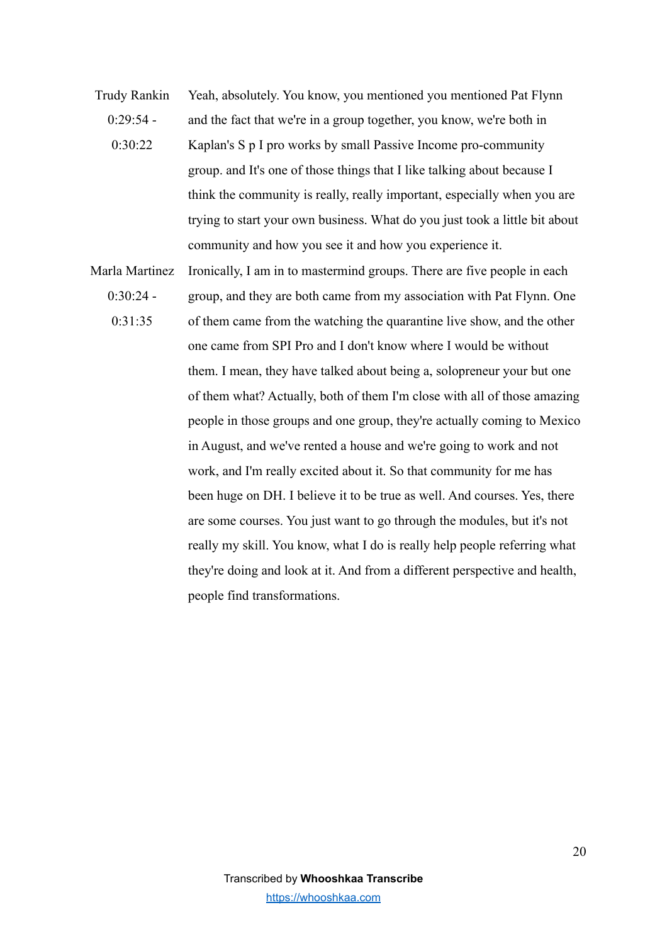- Trudy Rankin  $0.29.54 0.30.22$ Yeah, absolutely. You know, you mentioned you mentioned Pat Flynn and the fact that we're in a group together, you know, we're both in Kaplan's S p I pro works by small Passive Income pro-community group. and It's one of those things that I like talking about because I think the community is really, really important, especially when you are trying to start your own business. What do you just took a little bit about community and how you see it and how you experience it.
- Marla Martinez  $0.30.24 -$ 0:31:35 Ironically, I am in to mastermind groups. There are five people in each group, and they are both came from my association with Pat Flynn. One of them came from the watching the quarantine live show, and the other one came from SPI Pro and I don't know where I would be without them. I mean, they have talked about being a, solopreneur your but one of them what? Actually, both of them I'm close with all of those amazing people in those groups and one group, they're actually coming to Mexico in August, and we've rented a house and we're going to work and not work, and I'm really excited about it. So that community for me has been huge on DH. I believe it to be true as well. And courses. Yes, there are some courses. You just want to go through the modules, but it's not really my skill. You know, what I do is really help people referring what they're doing and look at it. And from a different perspective and health, people find transformations.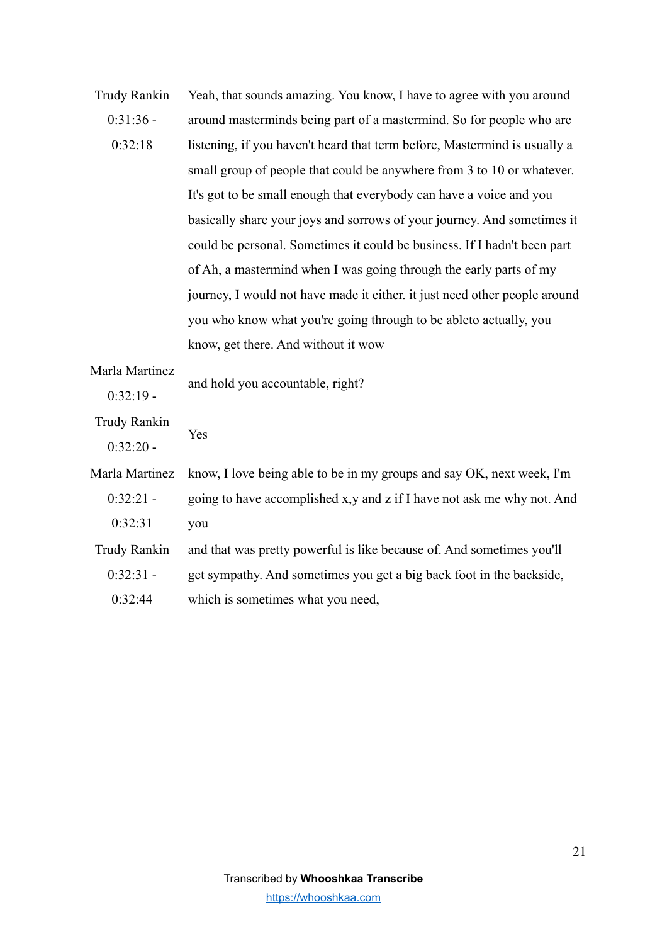| <b>Trudy Rankin</b> | Yeah, that sounds amazing. You know, I have to agree with you around       |
|---------------------|----------------------------------------------------------------------------|
| $0:31:36$ -         | around masterminds being part of a mastermind. So for people who are       |
| 0:32:18             | listening, if you haven't heard that term before, Mastermind is usually a  |
|                     | small group of people that could be anywhere from 3 to 10 or whatever.     |
|                     | It's got to be small enough that everybody can have a voice and you        |
|                     | basically share your joys and sorrows of your journey. And sometimes it    |
|                     | could be personal. Sometimes it could be business. If I hadn't been part   |
|                     | of Ah, a mastermind when I was going through the early parts of my         |
|                     | journey, I would not have made it either, it just need other people around |
|                     | you who know what you're going through to be ableto actually, you          |
|                     | know, get there. And without it wow                                        |
| Marla Martinez      | and hold you accountable, right?                                           |
| $0:32:19-$          |                                                                            |
| <b>Trudy Rankin</b> | Yes                                                                        |
| $0:32:20 -$         |                                                                            |
| Marla Martinez      | know, I love being able to be in my groups and say OK, next week, I'm      |
| $0:32:21 -$         | going to have accomplished x,y and z if I have not ask me why not. And     |
| 0:32:31             | you                                                                        |
| <b>Trudy Rankin</b> | and that was pretty powerful is like because of. And sometimes you'll      |

0:32:31 get sympathy. And sometimes you get a big back foot in the backside,

0:32:44 which is sometimes what you need,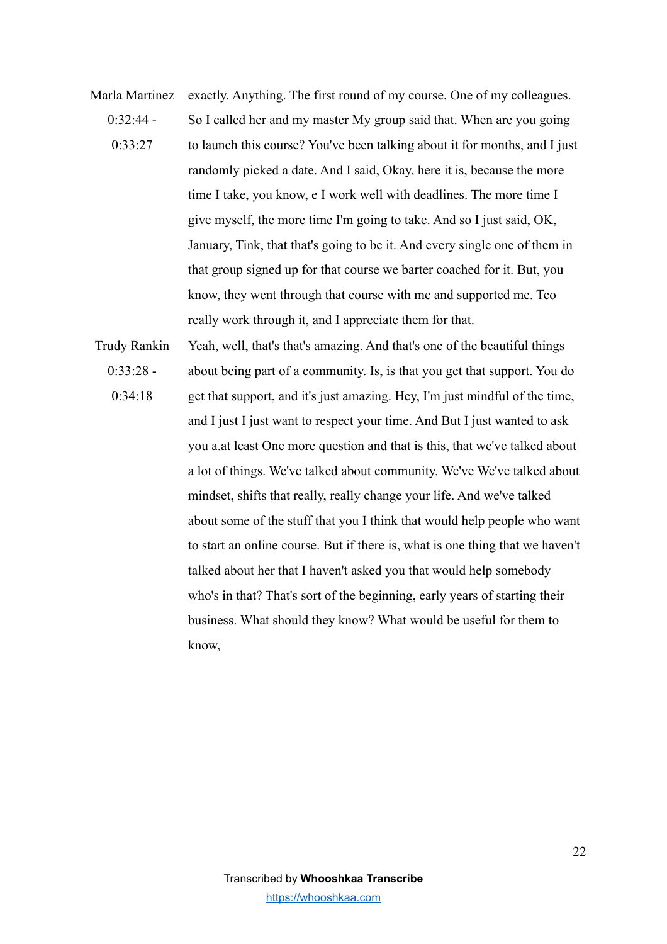- Marla Martinez  $0.32.44 0.33.27$ exactly. Anything. The first round of my course. One of my colleagues. So I called her and my master My group said that. When are you going to launch this course? You've been talking about it for months, and I just randomly picked a date. And I said, Okay, here it is, because the more time I take, you know, e I work well with deadlines. The more time I give myself, the more time I'm going to take. And so I just said, OK, January, Tink, that that's going to be it. And every single one of them in that group signed up for that course we barter coached for it. But, you know, they went through that course with me and supported me. Teo really work through it, and I appreciate them for that.
- Trudy Rankin 0:33:28 - 0:34:18 Yeah, well, that's that's amazing. And that's one of the beautiful things about being part of a community. Is, is that you get that support. You do get that support, and it's just amazing. Hey, I'm just mindful of the time, and I just I just want to respect your time. And But I just wanted to ask you a.at least One more question and that is this, that we've talked about a lot of things. We've talked about community. We've We've talked about mindset, shifts that really, really change your life. And we've talked about some of the stuff that you I think that would help people who want to start an online course. But if there is, what is one thing that we haven't talked about her that I haven't asked you that would help somebody who's in that? That's sort of the beginning, early years of starting their business. What should they know? What would be useful for them to know,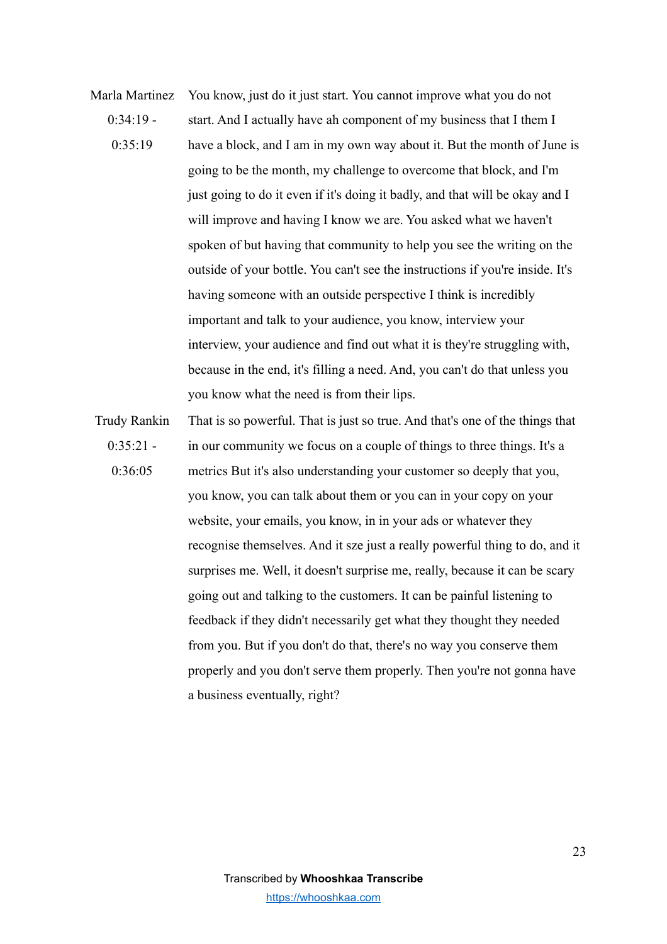- Marla Martinez  $0.34.19 0.35.19$ You know, just do it just start. You cannot improve what you do not start. And I actually have ah component of my business that I them I have a block, and I am in my own way about it. But the month of June is going to be the month, my challenge to overcome that block, and I'm just going to do it even if it's doing it badly, and that will be okay and I will improve and having I know we are. You asked what we haven't spoken of but having that community to help you see the writing on the outside of your bottle. You can't see the instructions if you're inside. It's having someone with an outside perspective I think is incredibly important and talk to your audience, you know, interview your interview, your audience and find out what it is they're struggling with, because in the end, it's filling a need. And, you can't do that unless you you know what the need is from their lips.
- Trudy Rankin  $0:35:21$  - $0.36:05$ That is so powerful. That is just so true. And that's one of the things that in our community we focus on a couple of things to three things. It's a metrics But it's also understanding your customer so deeply that you, you know, you can talk about them or you can in your copy on your website, your emails, you know, in in your ads or whatever they recognise themselves. And it sze just a really powerful thing to do, and it surprises me. Well, it doesn't surprise me, really, because it can be scary going out and talking to the customers. It can be painful listening to feedback if they didn't necessarily get what they thought they needed from you. But if you don't do that, there's no way you conserve them properly and you don't serve them properly. Then you're not gonna have a business eventually, right?